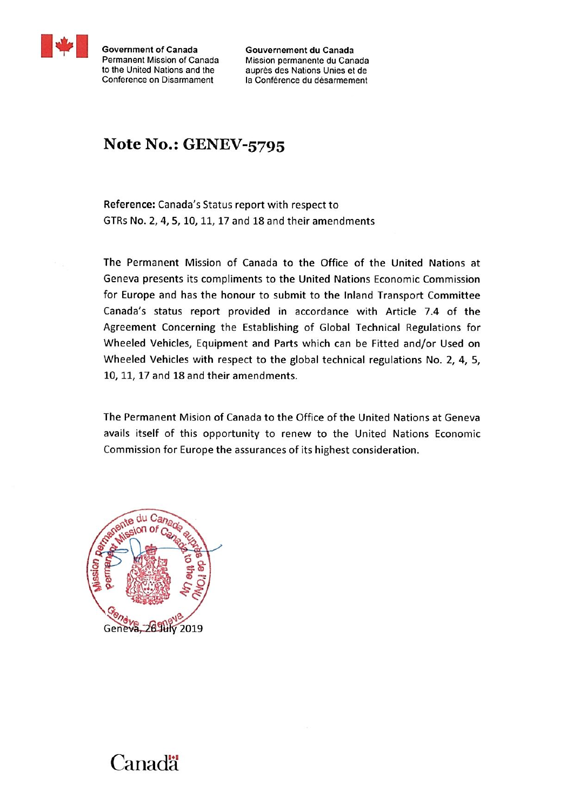

**Government of Canada** Permanent Mission of Canada to the United Nations and the Conference on Disarmament

Gouvernement du Canada Mission permanente du Canada auprès des Nations Unies et de la Conférence du désarmement

## Note No.: GENEV-5795

Reference: Canada's Status report with respect to GTRs No. 2, 4, 5, 10, 11, 17 and 18 and their amendments

The Permanent Mission of Canada to the Office of the United Nations at Geneva presents its compliments to the United Nations Economic Commission for Europe and has the honour to submit to the Inland Transport Committee Canada's status report provided in accordance with Article 7.4 of the Agreement Concerning the Establishing of Global Technical Regulations for Wheeled Vehicles, Equipment and Parts which can be Fitted and/or Used on Wheeled Vehicles with respect to the global technical regulations No. 2, 4, 5, 10, 11, 17 and 18 and their amendments.

The Permanent Mision of Canada to the Office of the United Nations at Geneva avails itself of this opportunity to renew to the United Nations Economic Commission for Europe the assurances of its highest consideration.



## Canadä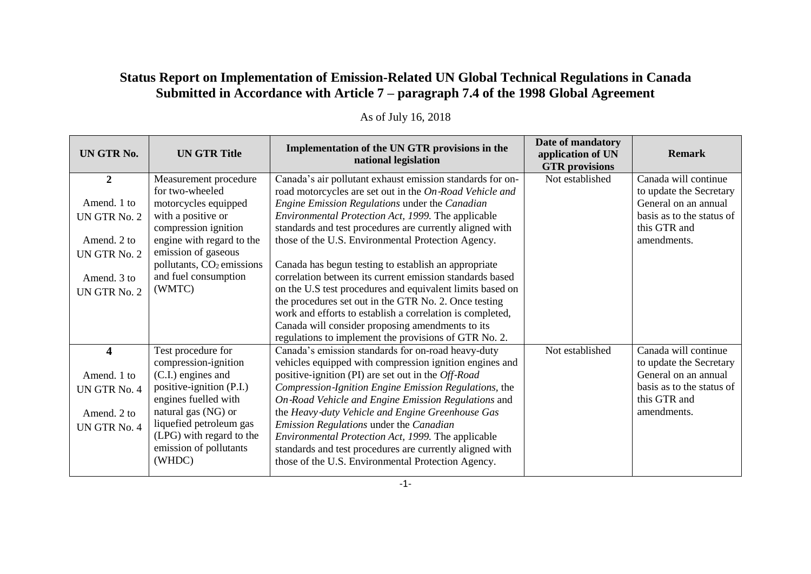## **Status Report on Implementation of Emission-Related UN Global Technical Regulations in Canada Submitted in Accordance with Article 7 – paragraph 7.4 of the 1998 Global Agreement**

| UN GTR No.     | <b>UN GTR Title</b>                               | Implementation of the UN GTR provisions in the<br>national legislation                                         | Date of mandatory<br>application of UN<br><b>GTR</b> provisions | <b>Remark</b>                                   |
|----------------|---------------------------------------------------|----------------------------------------------------------------------------------------------------------------|-----------------------------------------------------------------|-------------------------------------------------|
| $\overline{2}$ | Measurement procedure                             | Canada's air pollutant exhaust emission standards for on-                                                      | Not established                                                 | Canada will continue                            |
|                | for two-wheeled                                   | road motorcycles are set out in the On-Road Vehicle and                                                        |                                                                 | to update the Secretary                         |
| Amend. 1 to    | motorcycles equipped                              | Engine Emission Regulations under the Canadian                                                                 |                                                                 | General on an annual                            |
| UN GTR No. 2   | with a positive or                                | Environmental Protection Act, 1999. The applicable                                                             |                                                                 | basis as to the status of<br>this GTR and       |
| Amend. 2 to    | compression ignition<br>engine with regard to the | standards and test procedures are currently aligned with<br>those of the U.S. Environmental Protection Agency. |                                                                 | amendments.                                     |
| UN GTR No. 2   | emission of gaseous                               |                                                                                                                |                                                                 |                                                 |
|                | pollutants, $CO2$ emissions                       | Canada has begun testing to establish an appropriate                                                           |                                                                 |                                                 |
| Amend. 3 to    | and fuel consumption                              | correlation between its current emission standards based                                                       |                                                                 |                                                 |
| UN GTR No. 2   | (WMTC)                                            | on the U.S test procedures and equivalent limits based on                                                      |                                                                 |                                                 |
|                |                                                   | the procedures set out in the GTR No. 2. Once testing                                                          |                                                                 |                                                 |
|                |                                                   | work and efforts to establish a correlation is completed,                                                      |                                                                 |                                                 |
|                |                                                   | Canada will consider proposing amendments to its                                                               |                                                                 |                                                 |
|                |                                                   | regulations to implement the provisions of GTR No. 2.                                                          |                                                                 |                                                 |
| 4              | Test procedure for                                | Canada's emission standards for on-road heavy-duty                                                             | Not established                                                 | Canada will continue                            |
| Amend. 1 to    | compression-ignition<br>(C.I.) engines and        | vehicles equipped with compression ignition engines and<br>positive-ignition (PI) are set out in the Off-Road  |                                                                 | to update the Secretary<br>General on an annual |
|                | positive-ignition (P.I.)                          | Compression-Ignition Engine Emission Regulations, the                                                          |                                                                 | basis as to the status of                       |
| UN GTR No. 4   | engines fuelled with                              | On-Road Vehicle and Engine Emission Regulations and                                                            |                                                                 | this GTR and                                    |
| Amend. 2 to    | natural gas (NG) or                               | the Heavy-duty Vehicle and Engine Greenhouse Gas                                                               |                                                                 | amendments.                                     |
| UN GTR No. 4   | liquefied petroleum gas                           | Emission Regulations under the Canadian                                                                        |                                                                 |                                                 |
|                | (LPG) with regard to the                          | Environmental Protection Act, 1999. The applicable                                                             |                                                                 |                                                 |
|                | emission of pollutants                            | standards and test procedures are currently aligned with                                                       |                                                                 |                                                 |
|                | (WHDC)                                            | those of the U.S. Environmental Protection Agency.                                                             |                                                                 |                                                 |

## As of July 16, 2018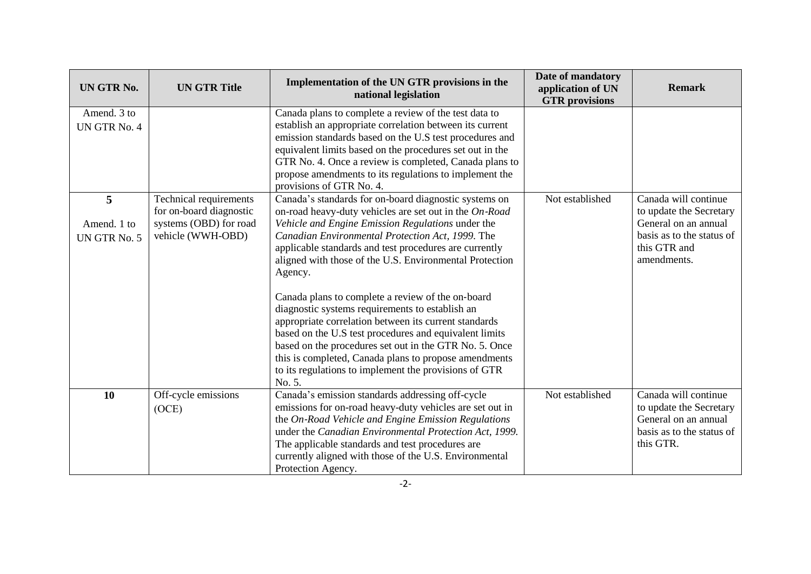| UN GTR No.                       | <b>UN GTR Title</b>                                                                              | Implementation of the UN GTR provisions in the<br>national legislation                                                                                                                                                                                                                                                                                                                                                                                                                                                                                                                                                                                                                                                                                                    | Date of mandatory<br>application of UN<br><b>GTR</b> provisions | <b>Remark</b>                                                                                                                       |
|----------------------------------|--------------------------------------------------------------------------------------------------|---------------------------------------------------------------------------------------------------------------------------------------------------------------------------------------------------------------------------------------------------------------------------------------------------------------------------------------------------------------------------------------------------------------------------------------------------------------------------------------------------------------------------------------------------------------------------------------------------------------------------------------------------------------------------------------------------------------------------------------------------------------------------|-----------------------------------------------------------------|-------------------------------------------------------------------------------------------------------------------------------------|
| Amend. 3 to<br>UN GTR No. 4      |                                                                                                  | Canada plans to complete a review of the test data to<br>establish an appropriate correlation between its current<br>emission standards based on the U.S test procedures and<br>equivalent limits based on the procedures set out in the<br>GTR No. 4. Once a review is completed, Canada plans to<br>propose amendments to its regulations to implement the<br>provisions of GTR No. 4.                                                                                                                                                                                                                                                                                                                                                                                  |                                                                 |                                                                                                                                     |
| 5<br>Amend. 1 to<br>UN GTR No. 5 | Technical requirements<br>for on-board diagnostic<br>systems (OBD) for road<br>vehicle (WWH-OBD) | Canada's standards for on-board diagnostic systems on<br>on-road heavy-duty vehicles are set out in the On-Road<br>Vehicle and Engine Emission Regulations under the<br>Canadian Environmental Protection Act, 1999. The<br>applicable standards and test procedures are currently<br>aligned with those of the U.S. Environmental Protection<br>Agency.<br>Canada plans to complete a review of the on-board<br>diagnostic systems requirements to establish an<br>appropriate correlation between its current standards<br>based on the U.S test procedures and equivalent limits<br>based on the procedures set out in the GTR No. 5. Once<br>this is completed, Canada plans to propose amendments<br>to its regulations to implement the provisions of GTR<br>No. 5. | Not established                                                 | Canada will continue<br>to update the Secretary<br>General on an annual<br>basis as to the status of<br>this GTR and<br>amendments. |
| 10                               | Off-cycle emissions<br>(OCE)                                                                     | Canada's emission standards addressing off-cycle<br>emissions for on-road heavy-duty vehicles are set out in<br>the On-Road Vehicle and Engine Emission Regulations<br>under the Canadian Environmental Protection Act, 1999.<br>The applicable standards and test procedures are<br>currently aligned with those of the U.S. Environmental<br>Protection Agency.                                                                                                                                                                                                                                                                                                                                                                                                         | Not established                                                 | Canada will continue<br>to update the Secretary<br>General on an annual<br>basis as to the status of<br>this GTR.                   |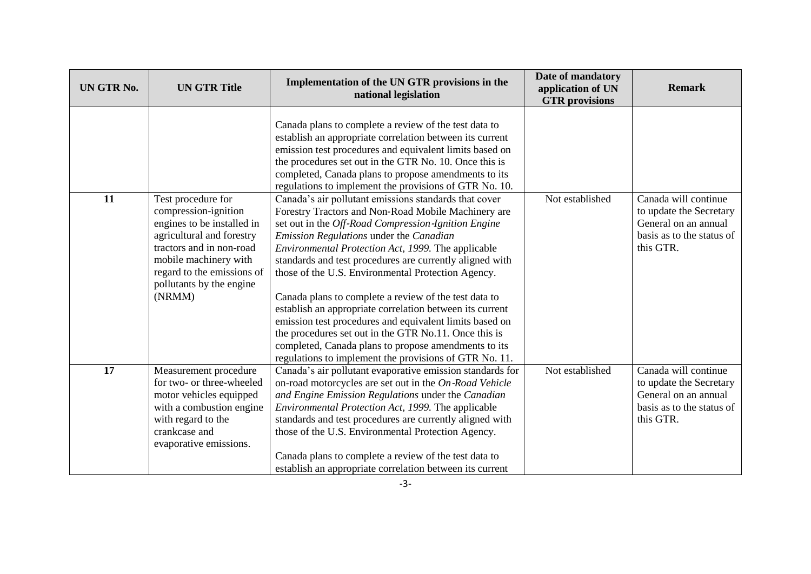| UN GTR No. | <b>UN GTR Title</b>                                                                                                                                                                                                            | Implementation of the UN GTR provisions in the<br>national legislation                                                                                                                                                                                                                                                                                                                                                                                                                                                                                                                                                                                                                                                                            | Date of mandatory<br>application of UN<br><b>GTR</b> provisions | <b>Remark</b>                                                                                                     |
|------------|--------------------------------------------------------------------------------------------------------------------------------------------------------------------------------------------------------------------------------|---------------------------------------------------------------------------------------------------------------------------------------------------------------------------------------------------------------------------------------------------------------------------------------------------------------------------------------------------------------------------------------------------------------------------------------------------------------------------------------------------------------------------------------------------------------------------------------------------------------------------------------------------------------------------------------------------------------------------------------------------|-----------------------------------------------------------------|-------------------------------------------------------------------------------------------------------------------|
|            |                                                                                                                                                                                                                                | Canada plans to complete a review of the test data to<br>establish an appropriate correlation between its current<br>emission test procedures and equivalent limits based on<br>the procedures set out in the GTR No. 10. Once this is<br>completed, Canada plans to propose amendments to its<br>regulations to implement the provisions of GTR No. 10.                                                                                                                                                                                                                                                                                                                                                                                          |                                                                 |                                                                                                                   |
| 11         | Test procedure for<br>compression-ignition<br>engines to be installed in<br>agricultural and forestry<br>tractors and in non-road<br>mobile machinery with<br>regard to the emissions of<br>pollutants by the engine<br>(NRMM) | Canada's air pollutant emissions standards that cover<br>Forestry Tractors and Non-Road Mobile Machinery are<br>set out in the Off-Road Compression-Ignition Engine<br>Emission Regulations under the Canadian<br>Environmental Protection Act, 1999. The applicable<br>standards and test procedures are currently aligned with<br>those of the U.S. Environmental Protection Agency.<br>Canada plans to complete a review of the test data to<br>establish an appropriate correlation between its current<br>emission test procedures and equivalent limits based on<br>the procedures set out in the GTR No.11. Once this is<br>completed, Canada plans to propose amendments to its<br>regulations to implement the provisions of GTR No. 11. | Not established                                                 | Canada will continue<br>to update the Secretary<br>General on an annual<br>basis as to the status of<br>this GTR. |
| 17         | Measurement procedure<br>for two- or three-wheeled<br>motor vehicles equipped<br>with a combustion engine<br>with regard to the<br>crankcase and<br>evaporative emissions.                                                     | Canada's air pollutant evaporative emission standards for<br>on-road motorcycles are set out in the On-Road Vehicle<br>and Engine Emission Regulations under the Canadian<br>Environmental Protection Act, 1999. The applicable<br>standards and test procedures are currently aligned with<br>those of the U.S. Environmental Protection Agency.<br>Canada plans to complete a review of the test data to<br>establish an appropriate correlation between its current                                                                                                                                                                                                                                                                            | Not established                                                 | Canada will continue<br>to update the Secretary<br>General on an annual<br>basis as to the status of<br>this GTR. |